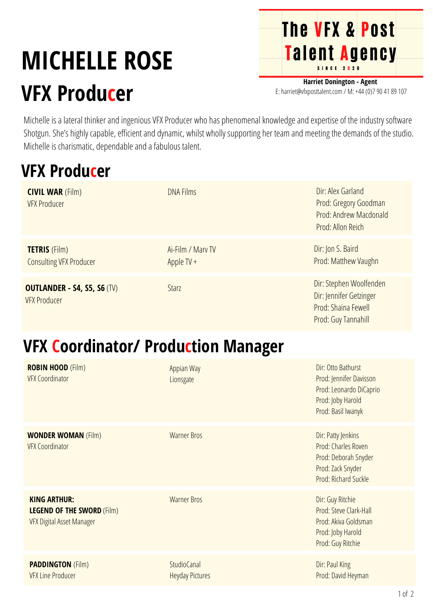## **MICHELLE ROSE VFX Producer**

**Harriet Donington - Agent** E: harriet@vfxposttalent.com / M:+44(0)7904189107

**The VFX & Post** 

Talent Agency

Michelle is a lateral thinker and ingenious VFX Producer who has phenomenal knowledge and expertise of the industry software Shotgun. She's highly capable, efficient and dynamic, whilst wholly supporting her team and meeting the demands of the studio. Michelle is charismatic, dependable and a fabulous talent.

## **VFX Producer**

| <b>CIVIL WAR (Film)</b><br><b>VFX Producer</b>            | <b>DNA Films</b>                  | Dir: Alex Garland<br>Prod: Gregory Goodman<br>Prod: Andrew Macdonald<br>Prod: Allon Reich        |
|-----------------------------------------------------------|-----------------------------------|--------------------------------------------------------------------------------------------------|
| <b>TETRIS</b> (Film)<br><b>Consulting VFX Producer</b>    | Ai-Film / Mary TV<br>Apple TV $+$ | Dir: Jon S. Baird<br>Prod: Matthew Vaughn                                                        |
| <b>OUTLANDER - S4, S5, S6 (TV)</b><br><b>VFX Producer</b> | <b>Starz</b>                      | Dir: Stephen Woolfenden<br>Dir: Jennifer Getzinger<br>Prod: Shaina Fewell<br>Prod: Guy Tannahill |

## **VFX Coordinator/ Production Manager**

| <b>ROBIN HOOD (Film)</b><br><b>VFX Coordinator</b>                                    | Appian Way<br>Lionsgate                      | Dir: Otto Bathurst<br>Prod: Jennifer Davisson<br>Prod: Leonardo DiCaprio<br>Prod: Joby Harold<br>Prod: Basil Iwanyk |
|---------------------------------------------------------------------------------------|----------------------------------------------|---------------------------------------------------------------------------------------------------------------------|
| <b>WONDER WOMAN (Film)</b><br><b>VFX Coordinator</b>                                  | <b>Warner Bros</b>                           | Dir: Patty Jenkins<br>Prod: Charles Roven<br>Prod: Deborah Snyder<br>Prod: Zack Snyder<br>Prod: Richard Suckle      |
| <b>KING ARTHUR:</b><br><b>LEGEND OF THE SWORD (Film)</b><br>VFX Digital Asset Manager | <b>Warner Bros</b>                           | Dir: Guy Ritchie<br>Prod: Steve Clark-Hall<br>Prod: Akiva Goldsman<br>Prod: Joby Harold<br>Prod: Guy Ritchie        |
| <b>PADDINGTON (Film)</b><br><b>VFX Line Producer</b>                                  | <b>StudioCanal</b><br><b>Heyday Pictures</b> | Dir: Paul King<br>Prod: David Heyman                                                                                |